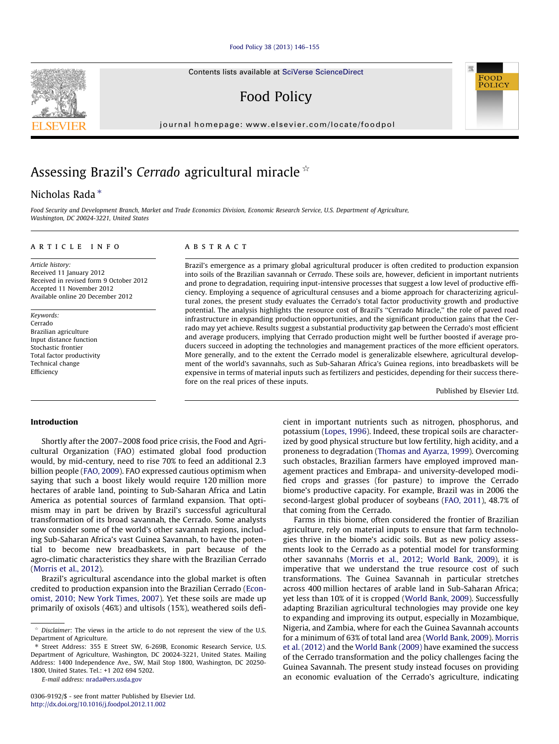### [Food Policy 38 \(2013\) 146–155](http://dx.doi.org/10.1016/j.foodpol.2012.11.002)

Contents lists available at [SciVerse ScienceDirect](http://www.sciencedirect.com/science/journal/03069192)

## Food Policy

journal homepage: [www.elsevier.com/locate/foodpol](http://www.elsevier.com/locate/foodpol)

## Assessing Brazil's Cerrado agricultural miracle  $\dot{\alpha}$

## Nicholas Rada<sup>\*</sup>

Food Security and Development Branch, Market and Trade Economics Division, Economic Research Service, U.S. Department of Agriculture, Washington, DC 20024-3221, United States

### article info

Article history: Received 11 January 2012 Received in revised form 9 October 2012 Accepted 11 November 2012 Available online 20 December 2012

Keywords: Cerrado Brazilian agriculture Input distance function Stochastic frontier Total factor productivity Technical change Efficiency

### **ABSTRACT**

Brazil's emergence as a primary global agricultural producer is often credited to production expansion into soils of the Brazilian savannah or Cerrado. These soils are, however, deficient in important nutrients and prone to degradation, requiring input-intensive processes that suggest a low level of productive efficiency. Employing a sequence of agricultural censuses and a biome approach for characterizing agricultural zones, the present study evaluates the Cerrado's total factor productivity growth and productive potential. The analysis highlights the resource cost of Brazil's ''Cerrado Miracle,'' the role of paved road infrastructure in expanding production opportunities, and the significant production gains that the Cerrado may yet achieve. Results suggest a substantial productivity gap between the Cerrado's most efficient and average producers, implying that Cerrado production might well be further boosted if average producers succeed in adopting the technologies and management practices of the more efficient operators. More generally, and to the extent the Cerrado model is generalizable elsewhere, agricultural development of the world's savannahs, such as Sub-Saharan Africa's Guinea regions, into breadbaskets will be expensive in terms of material inputs such as fertilizers and pesticides, depending for their success therefore on the real prices of these inputs.

Published by Elsevier Ltd.

POLICY

### Introduction

Shortly after the 2007–2008 food price crisis, the Food and Agricultural Organization (FAO) estimated global food production would, by mid-century, need to rise 70% to feed an additional 2.3 billion people [\(FAO, 2009](#page--1-0)). FAO expressed cautious optimism when saying that such a boost likely would require 120 million more hectares of arable land, pointing to Sub-Saharan Africa and Latin America as potential sources of farmland expansion. That optimism may in part be driven by Brazil's successful agricultural transformation of its broad savannah, the Cerrado. Some analysts now consider some of the world's other savannah regions, including Sub-Saharan Africa's vast Guinea Savannah, to have the potential to become new breadbaskets, in part because of the agro-climatic characteristics they share with the Brazilian Cerrado ([Morris et al., 2012\)](#page--1-0).

Brazil's agricultural ascendance into the global market is often credited to production expansion into the Brazilian Cerrado [\(Econ](#page--1-0)[omist, 2010; New York Times, 2007\)](#page--1-0). Yet these soils are made up primarily of oxisols (46%) and ultisols (15%), weathered soils defi-

E-mail address: [nrada@ers.usda.gov](mailto:nrada@ers.usda.gov)

cient in important nutrients such as nitrogen, phosphorus, and potassium [\(Lopes, 1996\)](#page--1-0). Indeed, these tropical soils are characterized by good physical structure but low fertility, high acidity, and a proneness to degradation ([Thomas and Ayarza, 1999\)](#page--1-0). Overcoming such obstacles, Brazilian farmers have employed improved management practices and Embrapa- and university-developed modified crops and grasses (for pasture) to improve the Cerrado biome's productive capacity. For example, Brazil was in 2006 the second-largest global producer of soybeans ([FAO, 2011](#page--1-0)), 48.7% of that coming from the Cerrado.

Farms in this biome, often considered the frontier of Brazilian agriculture, rely on material inputs to ensure that farm technologies thrive in the biome's acidic soils. But as new policy assessments look to the Cerrado as a potential model for transforming other savannahs [\(Morris et al., 2012](#page--1-0); [World Bank, 2009](#page--1-0)), it is imperative that we understand the true resource cost of such transformations. The Guinea Savannah in particular stretches across 400 million hectares of arable land in Sub-Saharan Africa; yet less than 10% of it is cropped ([World Bank, 2009\)](#page--1-0). Successfully adapting Brazilian agricultural technologies may provide one key to expanding and improving its output, especially in Mozambique, Nigeria, and Zambia, where for each the Guinea Savannah accounts for a minimum of 63% of total land area ([World Bank, 2009\)](#page--1-0). [Morris](#page--1-0) [et al. \(2012\)](#page--1-0) and the [World Bank \(2009\)](#page--1-0) have examined the success of the Cerrado transformation and the policy challenges facing the Guinea Savannah. The present study instead focuses on providing an economic evaluation of the Cerrado's agriculture, indicating



 $\phi$  Disclaimer: The views in the article to do not represent the view of the U.S. Department of Agriculture.

<sup>⇑</sup> Street Address: 355 E Street SW, 6-269B, Economic Research Service, U.S. Department of Agriculture, Washington, DC 20024-3221, United States. Mailing Address: 1400 Independence Ave., SW, Mail Stop 1800, Washington, DC 20250- 1800, United States. Tel.: +1 202 694 5202.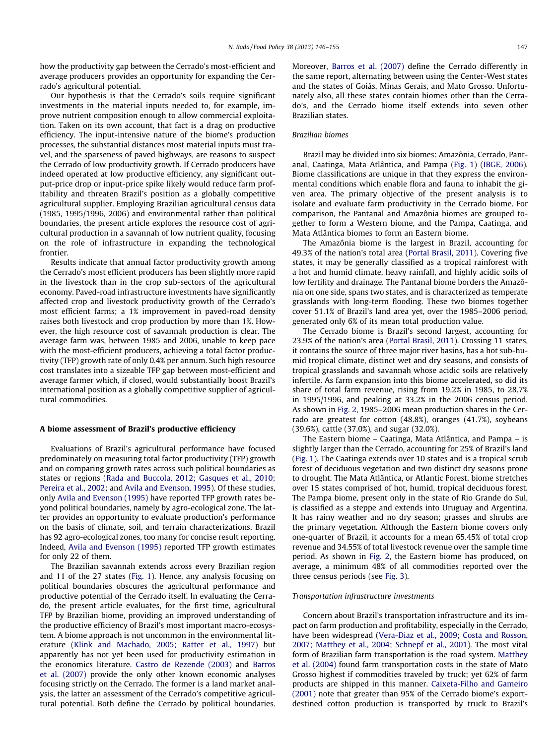how the productivity gap between the Cerrado's most-efficient and average producers provides an opportunity for expanding the Cerrado's agricultural potential.

Our hypothesis is that the Cerrado's soils require significant investments in the material inputs needed to, for example, improve nutrient composition enough to allow commercial exploitation. Taken on its own account, that fact is a drag on productive efficiency. The input-intensive nature of the biome's production processes, the substantial distances most material inputs must travel, and the sparseness of paved highways, are reasons to suspect the Cerrado of low productivity growth. If Cerrado producers have indeed operated at low productive efficiency, any significant output-price drop or input-price spike likely would reduce farm profitability and threaten Brazil's position as a globally competitive agricultural supplier. Employing Brazilian agricultural census data (1985, 1995/1996, 2006) and environmental rather than political boundaries, the present article explores the resource cost of agricultural production in a savannah of low nutrient quality, focusing on the role of infrastructure in expanding the technological frontier.

Results indicate that annual factor productivity growth among the Cerrado's most efficient producers has been slightly more rapid in the livestock than in the crop sub-sectors of the agricultural economy. Paved-road infrastructure investments have significantly affected crop and livestock productivity growth of the Cerrado's most efficient farms; a 1% improvement in paved-road density raises both livestock and crop production by more than 1%. However, the high resource cost of savannah production is clear. The average farm was, between 1985 and 2006, unable to keep pace with the most-efficient producers, achieving a total factor productivity (TFP) growth rate of only 0.4% per annum. Such high resource cost translates into a sizeable TFP gap between most-efficient and average farmer which, if closed, would substantially boost Brazil's international position as a globally competitive supplier of agricultural commodities.

#### A biome assessment of Brazil's productive efficiency

Evaluations of Brazil's agricultural performance have focused predominately on measuring total factor productivity (TFP) growth and on comparing growth rates across such political boundaries as states or regions [\(Rada and Buccola, 2012; Gasques et al., 2010;](#page--1-0) [Pereira et al., 2002](#page--1-0); and [Avila and Evenson, 1995\)](#page--1-0). Of these studies, only [Avila and Evenson \(1995\)](#page--1-0) have reported TFP growth rates beyond political boundaries, namely by agro-ecological zone. The latter provides an opportunity to evaluate production's performance on the basis of climate, soil, and terrain characterizations. Brazil has 92 agro-ecological zones, too many for concise result reporting. Indeed, [Avila and Evenson \(1995\)](#page--1-0) reported TFP growth estimates for only 22 of them.

The Brazilian savannah extends across every Brazilian region and 11 of the 27 states [\(Fig. 1](#page--1-0)). Hence, any analysis focusing on political boundaries obscures the agricultural performance and productive potential of the Cerrado itself. In evaluating the Cerrado, the present article evaluates, for the first time, agricultural TFP by Brazilian biome, providing an improved understanding of the productive efficiency of Brazil's most important macro-ecosystem. A biome approach is not uncommon in the environmental literature ([Klink and Machado, 2005; Ratter et al., 1997\)](#page--1-0) but apparently has not yet been used for productivity estimation in the economics literature. [Castro de Rezende \(2003\)](#page--1-0) and [Barros](#page--1-0) [et al. \(2007\)](#page--1-0) provide the only other known economic analyses focusing strictly on the Cerrado. The former is a land market analysis, the latter an assessment of the Cerrado's competitive agricultural potential. Both define the Cerrado by political boundaries. Moreover, [Barros et al. \(2007\)](#page--1-0) define the Cerrado differently in the same report, alternating between using the Center-West states and the states of Goiás, Minas Gerais, and Mato Grosso. Unfortunately also, all these states contain biomes other than the Cerrado's, and the Cerrado biome itself extends into seven other Brazilian states.

#### Brazilian biomes

Brazil may be divided into six biomes: Amazônia, Cerrado, Pantanal, Caatinga, Mata Atlântica, and Pampa ([Fig. 1](#page--1-0)) [\(IBGE, 2006\)](#page--1-0). Biome classifications are unique in that they express the environmental conditions which enable flora and fauna to inhabit the given area. The primary objective of the present analysis is to isolate and evaluate farm productivity in the Cerrado biome. For comparison, the Pantanal and Amazônia biomes are grouped together to form a Western biome, and the Pampa, Caatinga, and Mata Atlântica biomes to form an Eastern biome.

The Amazônia biome is the largest in Brazil, accounting for 49.3% of the nation's total area [\(Portal Brasil, 2011](#page--1-0)). Covering five states, it may be generally classified as a tropical rainforest with a hot and humid climate, heavy rainfall, and highly acidic soils of low fertility and drainage. The Pantanal biome borders the Amazônia on one side, spans two states, and is characterized as temperate grasslands with long-term flooding. These two biomes together cover 51.1% of Brazil's land area yet, over the 1985–2006 period, generated only 6% of its mean total production value.

The Cerrado biome is Brazil's second largest, accounting for 23.9% of the nation's area ([Portal Brasil, 2011](#page--1-0)). Crossing 11 states, it contains the source of three major river basins, has a hot sub-humid tropical climate, distinct wet and dry seasons, and consists of tropical grasslands and savannah whose acidic soils are relatively infertile. As farm expansion into this biome accelerated, so did its share of total farm revenue, rising from 19.2% in 1985, to 28.7% in 1995/1996, and peaking at 33.2% in the 2006 census period. As shown in [Fig. 2,](#page--1-0) 1985–2006 mean production shares in the Cerrado are greatest for cotton (48.8%), oranges (41.7%), soybeans (39.6%), cattle (37.0%), and sugar (32.0%).

The Eastern biome – Caatinga, Mata Atlântica, and Pampa – is slightly larger than the Cerrado, accounting for 25% of Brazil's land ([Fig. 1\)](#page--1-0). The Caatinga extends over 10 states and is a tropical scrub forest of deciduous vegetation and two distinct dry seasons prone to drought. The Mata Atlântica, or Atlantic Forest, biome stretches over 15 states comprised of hot, humid, tropical deciduous forest. The Pampa biome, present only in the state of Rio Grande do Sul, is classified as a steppe and extends into Uruguay and Argentina. It has rainy weather and no dry season; grasses and shrubs are the primary vegetation. Although the Eastern biome covers only one-quarter of Brazil, it accounts for a mean 65.45% of total crop revenue and 34.55% of total livestock revenue over the sample time period. As shown in [Fig. 2](#page--1-0), the Eastern biome has produced, on average, a minimum 48% of all commodities reported over the three census periods (see [Fig. 3\)](#page--1-0).

#### Transportation infrastructure investments

Concern about Brazil's transportation infrastructure and its impact on farm production and profitability, especially in the Cerrado, have been widespread ([Vera-Diaz et al., 2009; Costa and Rosson,](#page--1-0) [2007; Matthey et al., 2004; Schnepf et al., 2001](#page--1-0)). The most vital form of Brazilian farm transportation is the road system. [Matthey](#page--1-0) [et al. \(2004\)](#page--1-0) found farm transportation costs in the state of Mato Grosso highest if commodities traveled by truck; yet 62% of farm products are shipped in this manner. [Caixeta-Filho and Gameiro](#page--1-0) [\(2001\)](#page--1-0) note that greater than 95% of the Cerrado biome's exportdestined cotton production is transported by truck to Brazil's